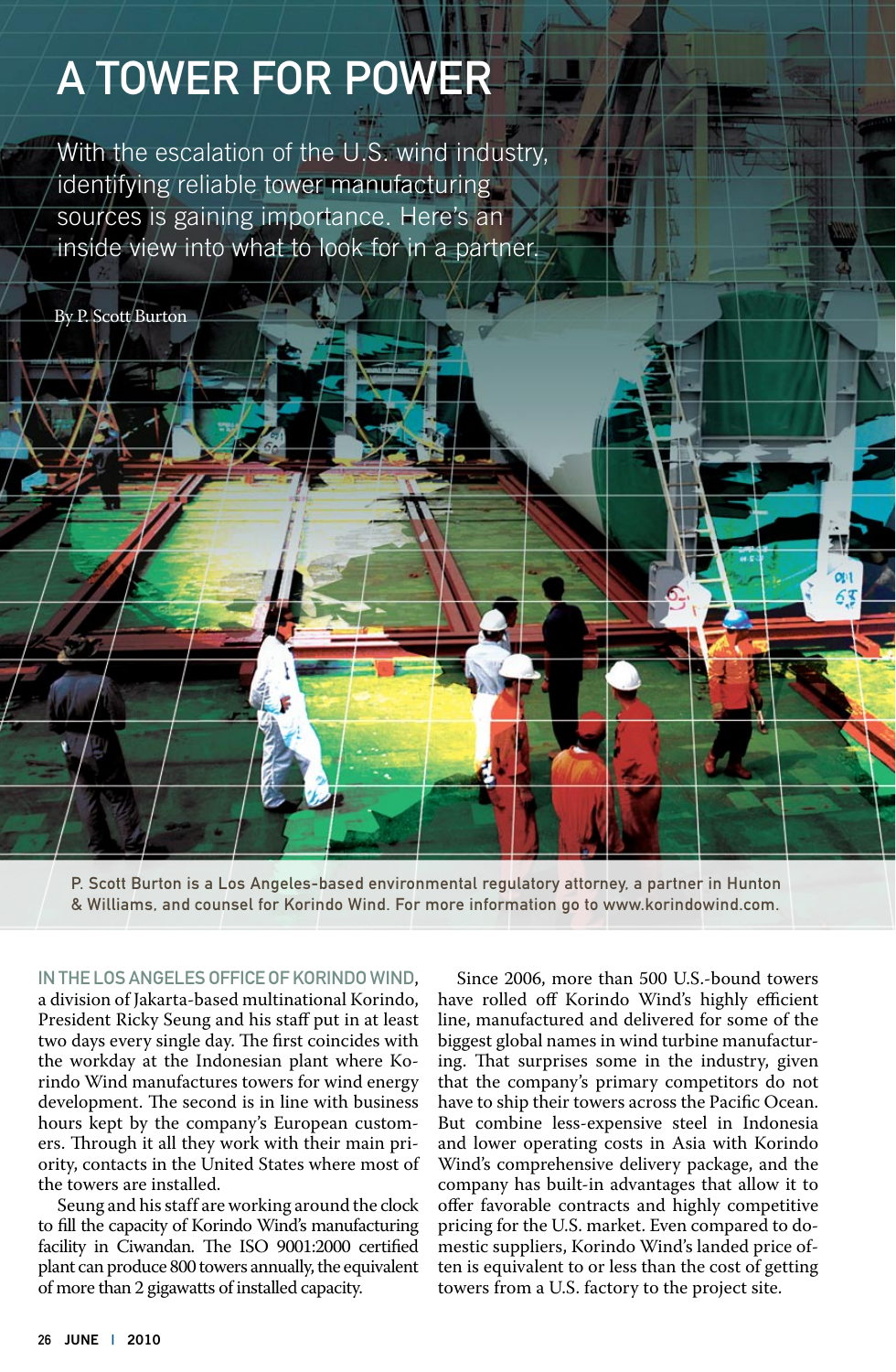# A Tower for Power

With the escalation of the U.S. wind industry, identifying reliable tower manufacturing sources is gaining importance. Here's an inside view into what to look for in a partner.

By P. Scott Burton

P. Scott Burton is a Los Angeles-based environmental regulatory attorney, a partner in Hunton & Williams, and counsel for Korindo Wind. For more information go to www.korindowind.com.

## In the Los Angeles office of Korindo Wind,

a division of Jakarta-based multinational Korindo, President Ricky Seung and his staff put in at least two days every single day. The first coincides with the workday at the Indonesian plant where Korindo Wind manufactures towers for wind energy development. The second is in line with business hours kept by the company's European customers. Through it all they work with their main priority, contacts in the United States where most of the towers are installed.

Seung and his staff are working around the clock to fill the capacity of Korindo Wind's manufacturing facility in Ciwandan. The ISO 9001:2000 certified plant can produce 800 towers annually, the equivalent of more than 2 gigawatts of installed capacity.

Since 2006, more than 500 U.S.-bound towers have rolled off Korindo Wind's highly efficient line, manufactured and delivered for some of the biggest global names in wind turbine manufacturing. That surprises some in the industry, given that the company's primary competitors do not have to ship their towers across the Pacific Ocean. But combine less-expensive steel in Indonesia and lower operating costs in Asia with Korindo Wind's comprehensive delivery package, and the company has built-in advantages that allow it to offer favorable contracts and highly competitive pricing for the U.S. market. Even compared to domestic suppliers, Korindo Wind's landed price often is equivalent to or less than the cost of getting towers from a U.S. factory to the project site.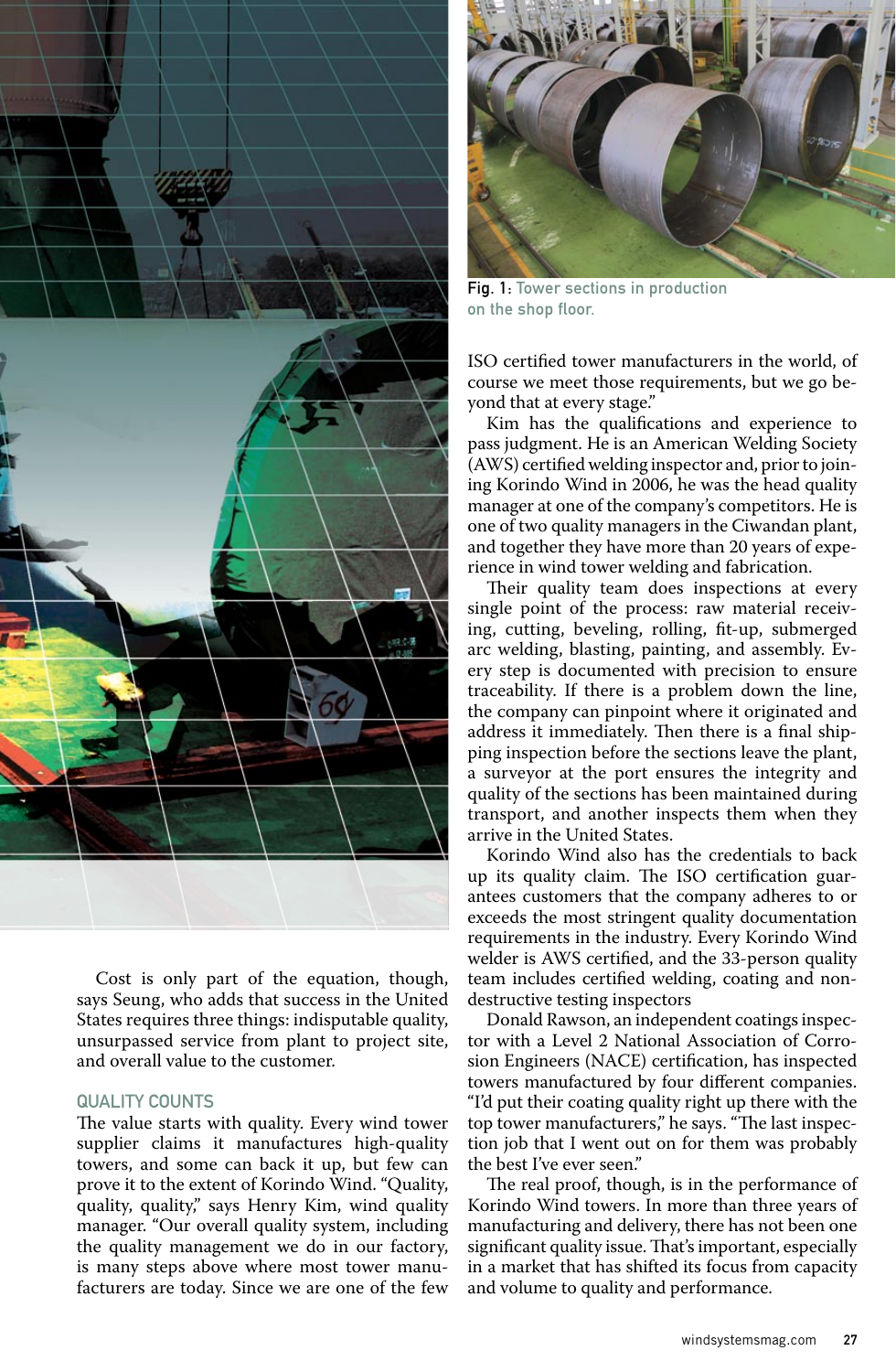

Cost is only part of the equation, though, says Seung, who adds that success in the United States requires three things: indisputable quality, unsurpassed service from plant to project site, and overall value to the customer.

## Quality Counts

The value starts with quality. Every wind tower supplier claims it manufactures high-quality towers, and some can back it up, but few can prove it to the extent of Korindo Wind. "Quality, quality, quality," says Henry Kim, wind quality manager. "Our overall quality system, including the quality management we do in our factory, is many steps above where most tower manufacturers are today. Since we are one of the few



Fig. 1: Tower sections in production on the shop floor.

ISO certified tower manufacturers in the world, of course we meet those requirements, but we go beyond that at every stage."

Kim has the qualifications and experience to pass judgment. He is an American Welding Society (AWS) certified welding inspector and, prior to joining Korindo Wind in 2006, he was the head quality manager at one of the company's competitors. He is one of two quality managers in the Ciwandan plant, and together they have more than 20 years of experience in wind tower welding and fabrication.

Their quality team does inspections at every single point of the process: raw material receiving, cutting, beveling, rolling, fit-up, submerged arc welding, blasting, painting, and assembly. Every step is documented with precision to ensure traceability. If there is a problem down the line, the company can pinpoint where it originated and address it immediately. Then there is a final shipping inspection before the sections leave the plant, a surveyor at the port ensures the integrity and quality of the sections has been maintained during transport, and another inspects them when they arrive in the United States.

Korindo Wind also has the credentials to back up its quality claim. The ISO certification guarantees customers that the company adheres to or exceeds the most stringent quality documentation requirements in the industry. Every Korindo Wind welder is AWS certified, and the 33-person quality team includes certified welding, coating and nondestructive testing inspectors

Donald Rawson, an independent coatings inspector with a Level 2 National Association of Corrosion Engineers (NACE) certification, has inspected towers manufactured by four different companies. "I'd put their coating quality right up there with the top tower manufacturers," he says. "The last inspection job that I went out on for them was probably the best I've ever seen."

The real proof, though, is in the performance of Korindo Wind towers. In more than three years of manufacturing and delivery, there has not been one significant quality issue. That's important, especially in a market that has shifted its focus from capacity and volume to quality and performance.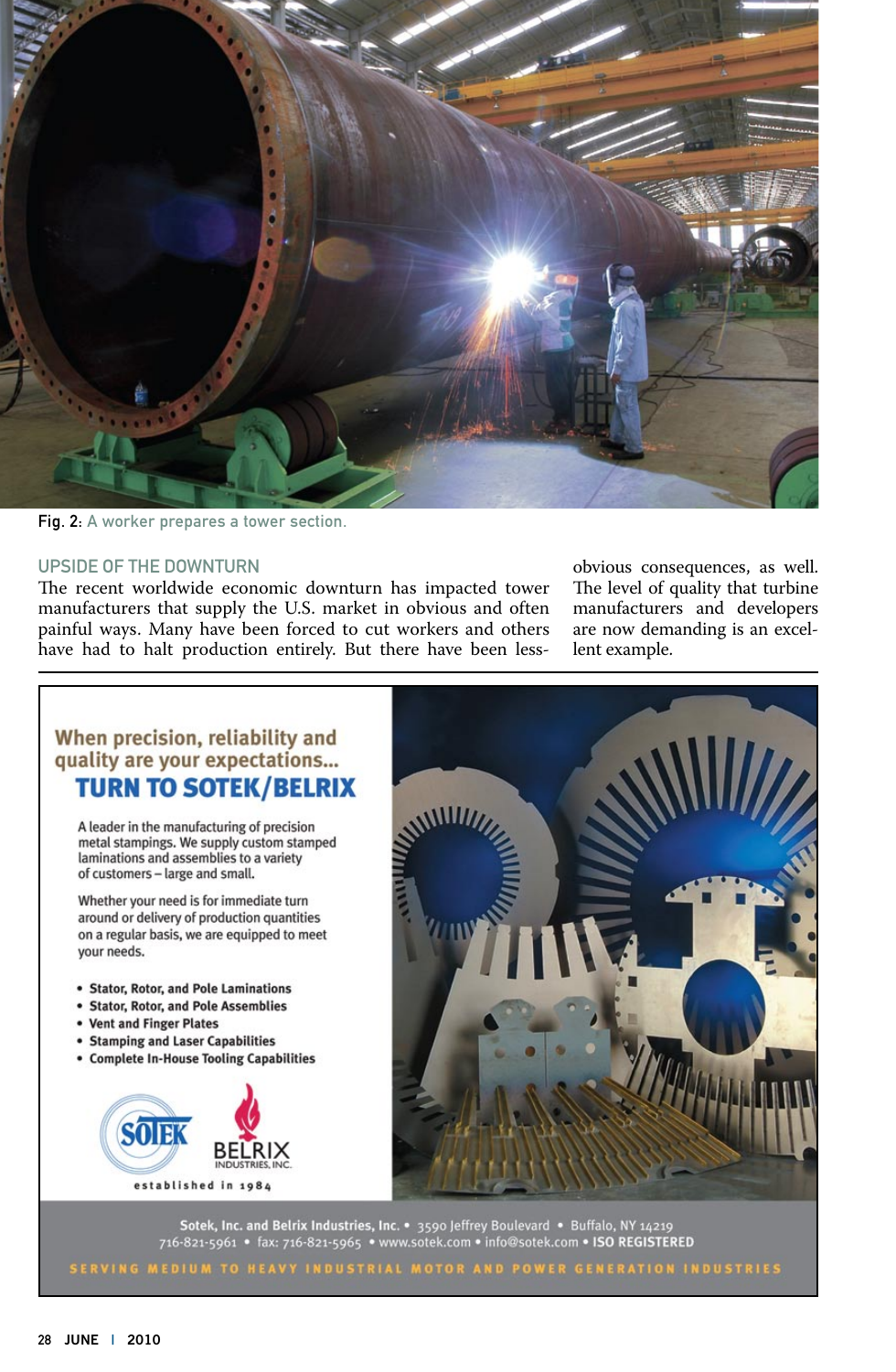

Fig. 2: A worker prepares a tower section.

#### Upside of the Downturn

The recent worldwide economic downturn has impacted tower manufacturers that supply the U.S. market in obvious and often painful ways. Many have been forced to cut workers and others have had to halt production entirely. But there have been lessobvious consequences, as well. The level of quality that turbine manufacturers and developers are now demanding is an excellent example.

# When precision, reliability and quality are your expectations... **TURN TO SOTEK/BELRIX**

A leader in the manufacturing of precision metal stampings. We supply custom stamped laminations and assemblies to a variety of customers - large and small.

Whether your need is for immediate turn around or delivery of production quantities on a regular basis, we are equipped to meet your needs.

- · Stator, Rotor, and Pole Laminations
- · Stator, Rotor, and Pole Assemblies
- Vent and Finger Plates
- **Stamping and Laser Capabilities**
- Complete In-House Tooling Capabilities





Sotek, Inc. and Belrix Industries, Inc. • 3590 Jeffrey Boulevard • Buffalo, NY 14219<br>716-821-5961 • fax: 716-821-5965 • www.sotek.com • info@sotek.com • ISO REGISTERED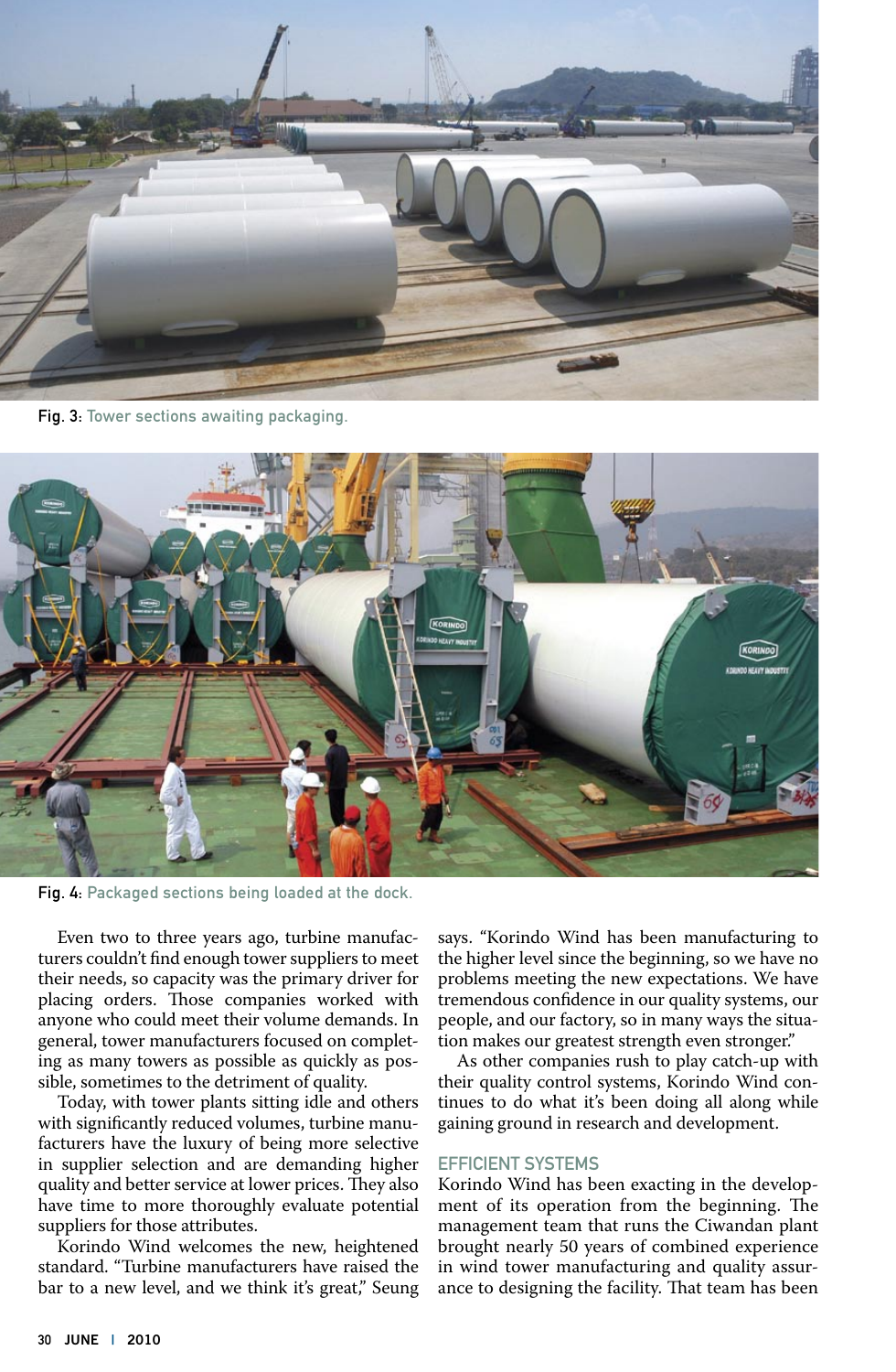

Fig. 3: Tower sections awaiting packaging.



Fig. 4: Packaged sections being loaded at the dock.

Even two to three years ago, turbine manufacturers couldn't find enough tower suppliers to meet their needs, so capacity was the primary driver for placing orders. Those companies worked with anyone who could meet their volume demands. In general, tower manufacturers focused on completing as many towers as possible as quickly as possible, sometimes to the detriment of quality.

Today, with tower plants sitting idle and others with significantly reduced volumes, turbine manufacturers have the luxury of being more selective in supplier selection and are demanding higher quality and better service at lower prices. They also have time to more thoroughly evaluate potential suppliers for those attributes.

Korindo Wind welcomes the new, heightened standard. "Turbine manufacturers have raised the bar to a new level, and we think it's great," Seung says. "Korindo Wind has been manufacturing to the higher level since the beginning, so we have no problems meeting the new expectations. We have tremendous confidence in our quality systems, our people, and our factory, so in many ways the situation makes our greatest strength even stronger."

As other companies rush to play catch-up with their quality control systems, Korindo Wind continues to do what it's been doing all along while gaining ground in research and development.

# Efficient Systems

Korindo Wind has been exacting in the development of its operation from the beginning. The management team that runs the Ciwandan plant brought nearly 50 years of combined experience in wind tower manufacturing and quality assurance to designing the facility. That team has been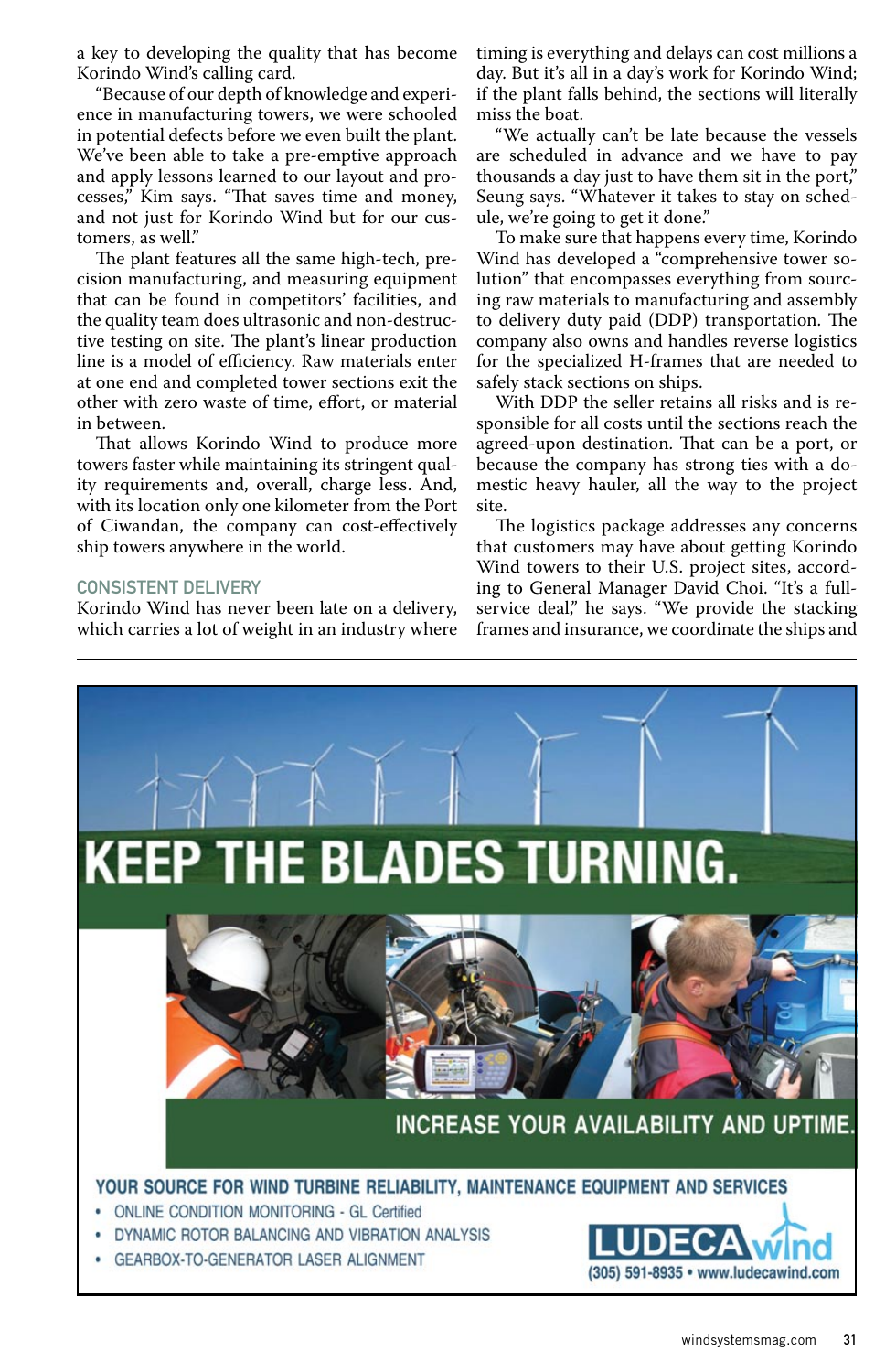a key to developing the quality that has become Korindo Wind's calling card.

"Because of our depth of knowledge and experience in manufacturing towers, we were schooled in potential defects before we even built the plant. We've been able to take a pre-emptive approach and apply lessons learned to our layout and processes," Kim says. "That saves time and money, and not just for Korindo Wind but for our customers, as well."

The plant features all the same high-tech, precision manufacturing, and measuring equipment that can be found in competitors' facilities, and the quality team does ultrasonic and non-destructive testing on site. The plant's linear production line is a model of efficiency. Raw materials enter at one end and completed tower sections exit the other with zero waste of time, effort, or material in between.

That allows Korindo Wind to produce more towers faster while maintaining its stringent quality requirements and, overall, charge less. And, with its location only one kilometer from the Port of Ciwandan, the company can cost-effectively ship towers anywhere in the world.

## Consistent Delivery

Korindo Wind has never been late on a delivery, which carries a lot of weight in an industry where timing is everything and delays can cost millions a day. But it's all in a day's work for Korindo Wind; if the plant falls behind, the sections will literally miss the boat.

"We actually can't be late because the vessels are scheduled in advance and we have to pay thousands a day just to have them sit in the port," Seung says. "Whatever it takes to stay on schedule, we're going to get it done."

To make sure that happens every time, Korindo Wind has developed a "comprehensive tower solution" that encompasses everything from sourcing raw materials to manufacturing and assembly to delivery duty paid (DDP) transportation. The company also owns and handles reverse logistics for the specialized H-frames that are needed to safely stack sections on ships.

With DDP the seller retains all risks and is responsible for all costs until the sections reach the agreed-upon destination. That can be a port, or because the company has strong ties with a domestic heavy hauler, all the way to the project site.

The logistics package addresses any concerns that customers may have about getting Korindo Wind towers to their U.S. project sites, according to General Manager David Choi. "It's a fullservice deal," he says. "We provide the stacking frames and insurance, we coordinate the ships and

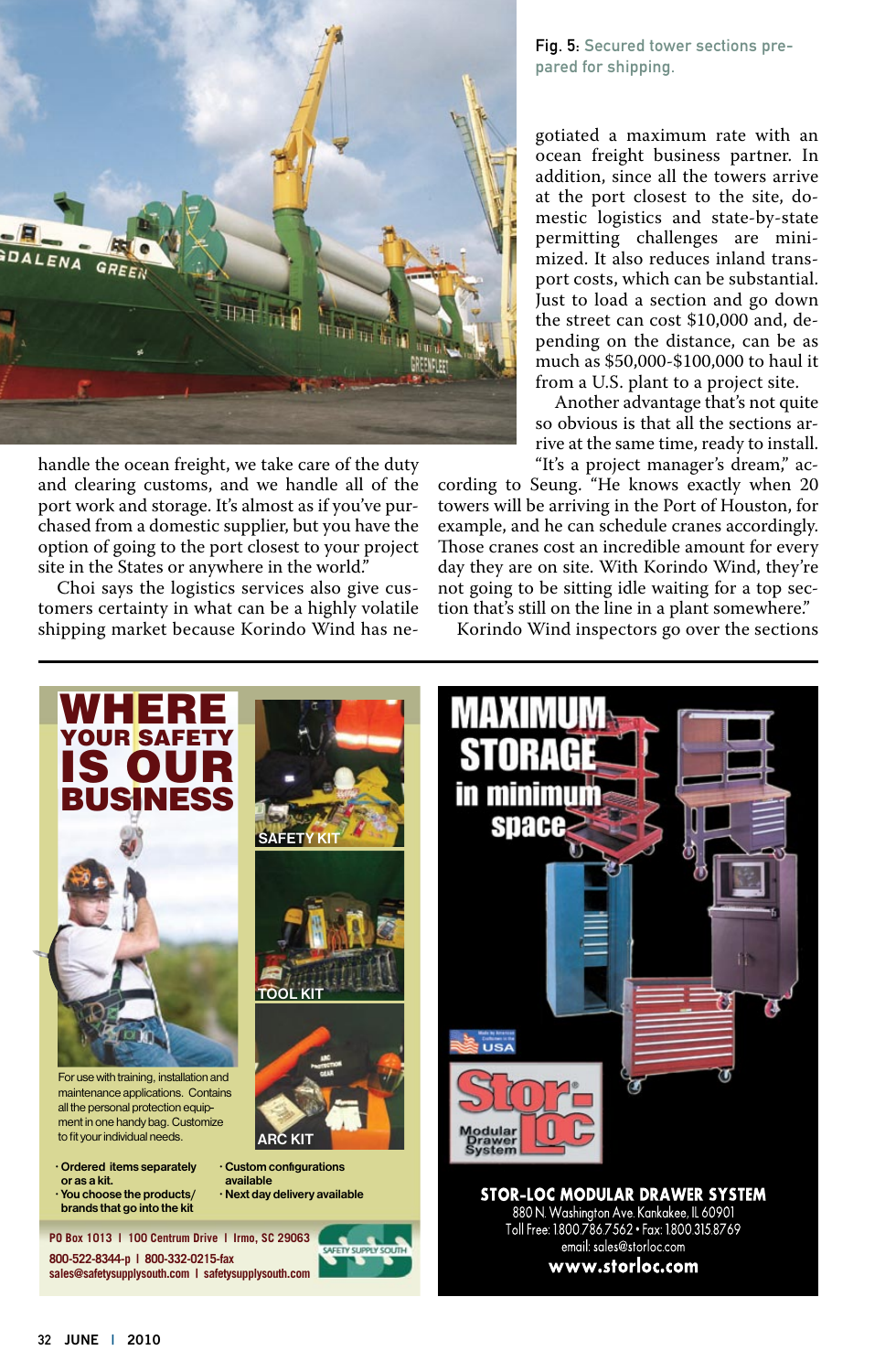

handle the ocean freight, we take care of the duty and clearing customs, and we handle all of the port work and storage. It's almost as if you've purchased from a domestic supplier, but you have the option of going to the port closest to your project site in the States or anywhere in the world."

Choi says the logistics services also give customers certainty in what can be a highly volatile shipping market because Korindo Wind has neFig. 5: Secured tower sections prepared for shipping.

gotiated a maximum rate with an ocean freight business partner. In addition, since all the towers arrive at the port closest to the site, domestic logistics and state-by-state permitting challenges are minimized. It also reduces inland transport costs, which can be substantial. Just to load a section and go down the street can cost \$10,000 and, depending on the distance, can be as much as \$50,000-\$100,000 to haul it from a U.S. plant to a project site.

Another advantage that's not quite so obvious is that all the sections arrive at the same time, ready to install. "It's a project manager's dream," ac-

cording to Seung. "He knows exactly when 20 towers will be arriving in the Port of Houston, for example, and he can schedule cranes accordingly. Those cranes cost an incredible amount for every day they are on site. With Korindo Wind, they're not going to be sitting idle waiting for a top section that's still on the line in a plant somewhere."

Korindo Wind inspectors go over the sections